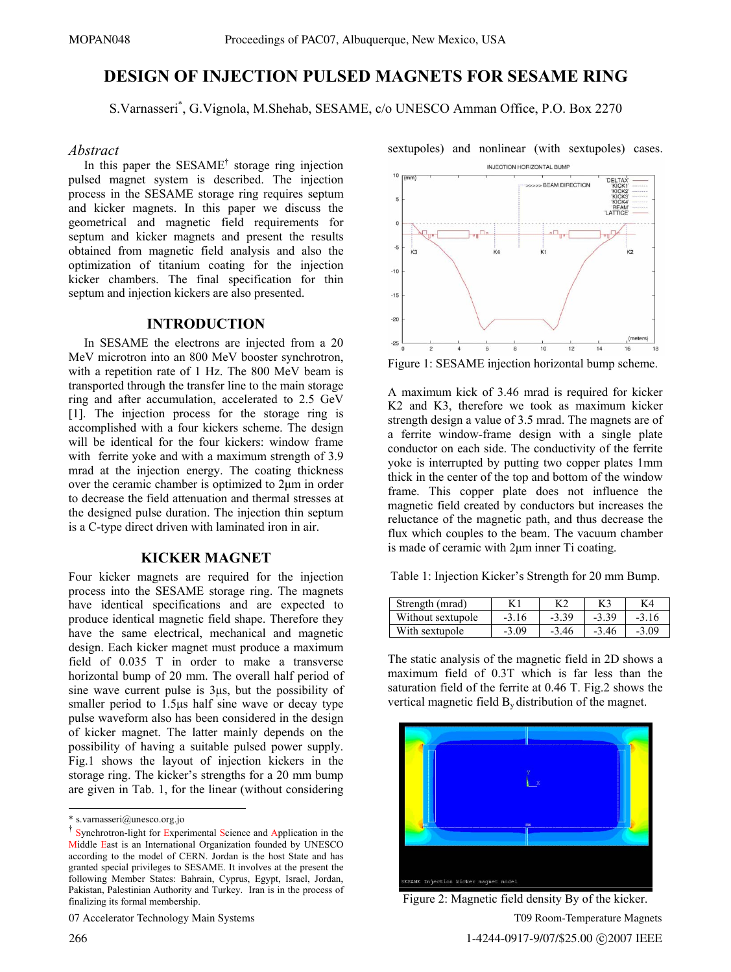# **DESIGN OF INJECTION PULSED MAGNETS FOR SESAME RING**

S.Varnasseri\* , G.Vignola, M.Shehab, SESAME, c/o UNESCO Amman Office, P.O. Box 2270

#### *Abstract*

In this paper the SESAME<sup>†</sup> storage ring injection pulsed magnet system is described. The injection process in the SESAME storage ring requires septum and kicker magnets. In this paper we discuss the geometrical and magnetic field requirements for septum and kicker magnets and present the results obtained from magnetic field analysis and also the optimization of titanium coating for the injection kicker chambers. The final specification for thin septum and injection kickers are also presented.

## **INTRODUCTION**

 In SESAME the electrons are injected from a 20 MeV microtron into an 800 MeV booster synchrotron, with a repetition rate of 1 Hz. The 800 MeV beam is transported through the transfer line to the main storage ring and after accumulation, accelerated to 2.5 GeV [1]. The injection process for the storage ring is accomplished with a four kickers scheme. The design will be identical for the four kickers: window frame with ferrite yoke and with a maximum strength of 3.9 mrad at the injection energy. The coating thickness over the ceramic chamber is optimized to 2μm in order to decrease the field attenuation and thermal stresses at the designed pulse duration. The injection thin septum is a C-type direct driven with laminated iron in air.

#### **KICKER MAGNET**

Four kicker magnets are required for the injection process into the SESAME storage ring. The magnets have identical specifications and are expected to produce identical magnetic field shape. Therefore they have the same electrical, mechanical and magnetic design. Each kicker magnet must produce a maximum field of 0.035 T in order to make a transverse horizontal bump of 20 mm. The overall half period of sine wave current pulse is 3μs, but the possibility of smaller period to 1.5μs half sine wave or decay type pulse waveform also has been considered in the design of kicker magnet. The latter mainly depends on the possibility of having a suitable pulsed power supply. Fig.1 shows the layout of injection kickers in the storage ring. The kicker's strengths for a 20 mm bump are given in Tab. 1, for the linear (without considering

07 Accelerator Technology Main Systems



A maximum kick of 3.46 mrad is required for kicker K2 and K3, therefore we took as maximum kicker strength design a value of 3.5 mrad. The magnets are of a ferrite window-frame design with a single plate conductor on each side. The conductivity of the ferrite yoke is interrupted by putting two copper plates 1mm thick in the center of the top and bottom of the window frame. This copper plate does not influence the magnetic field created by conductors but increases the reluctance of the magnetic path, and thus decrease the flux which couples to the beam. The vacuum chamber is made of ceramic with 2μm inner Ti coating.

Table 1: Injection Kicker's Strength for 20 mm Bump.

| Strength (mrad)   |         |         | K3      | K4      |
|-------------------|---------|---------|---------|---------|
| Without sextupole | $-3.16$ | $-3.39$ | $-3.39$ | $-3.16$ |
| With sextupole    | $-3.09$ | $-3.46$ | $-3.46$ | $-3.09$ |

The static analysis of the magnetic field in 2D shows a maximum field of 0.3T which is far less than the saturation field of the ferrite at 0.46 T. Fig.2 shows the vertical magnetic field  $B<sub>v</sub>$  distribution of the magnet.



Figure 2: Magnetic field density By of the kicker. T09 Room-Temperature Magnets 1-4244-0917-9/07/\$25.00 C2007 IEEE

 $\overline{a}$ 

<sup>\*</sup> s.varnasseri@unesco.org.jo

<sup>†</sup> Synchrotron-light for Experimental Science and Application in the Middle East is an International Organization founded by UNESCO according to the model of CERN. Jordan is the host State and has granted special privileges to SESAME. It involves at the present the following Member States: Bahrain, Cyprus, Egypt, Israel, Jordan, Pakistan, Palestinian Authority and Turkey. Iran is in the process of finalizing its formal membership.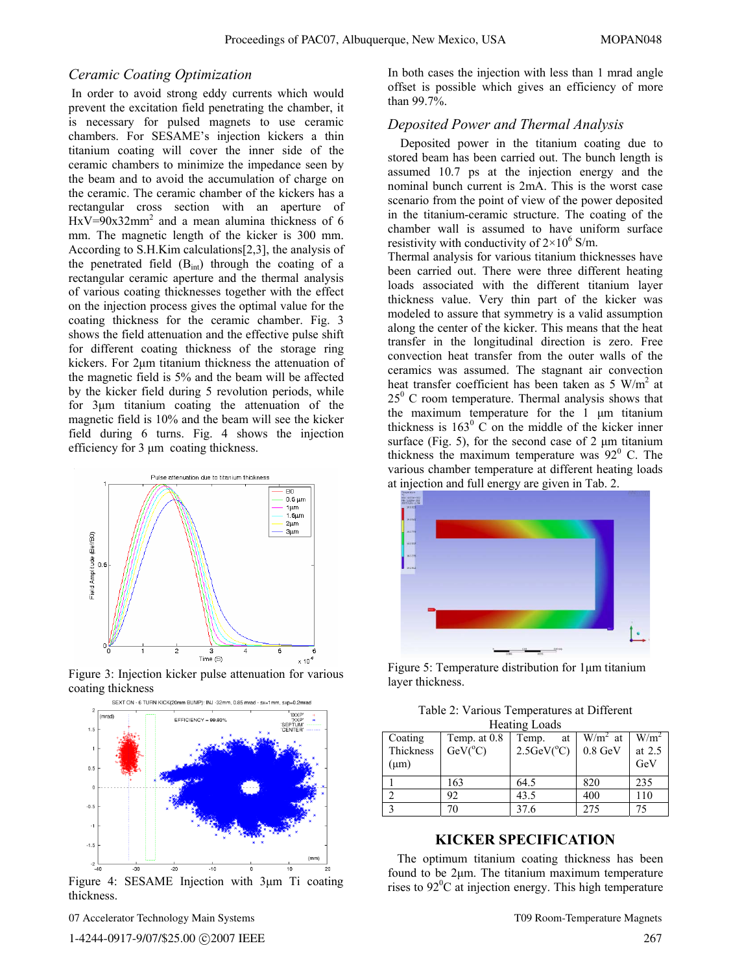#### *Ceramic Coating Optimization*

 In order to avoid strong eddy currents which would prevent the excitation field penetrating the chamber, it is necessary for pulsed magnets to use ceramic chambers. For SESAME's injection kickers a thin titanium coating will cover the inner side of the ceramic chambers to minimize the impedance seen by the beam and to avoid the accumulation of charge on the ceramic. The ceramic chamber of the kickers has a rectangular cross section with an aperture of  $HxV=90x32mm<sup>2</sup>$  and a mean alumina thickness of 6 mm. The magnetic length of the kicker is 300 mm. According to S.H.Kim calculations[2,3], the analysis of the penetrated field  $(B<sub>int</sub>)$  through the coating of a rectangular ceramic aperture and the thermal analysis of various coating thicknesses together with the effect on the injection process gives the optimal value for the coating thickness for the ceramic chamber. Fig. 3 shows the field attenuation and the effective pulse shift for different coating thickness of the storage ring kickers. For 2μm titanium thickness the attenuation of the magnetic field is 5% and the beam will be affected by the kicker field during 5 revolution periods, while for 3μm titanium coating the attenuation of the magnetic field is 10% and the beam will see the kicker field during 6 turns. Fig. 4 shows the injection efficiency for 3 μm coating thickness.



Figure 3: Injection kicker pulse attenuation for various coating thickness



Figure 4: SESAME Injection with 3μm Ti coating thickness.

In both cases the injection with less than 1 mrad angle offset is possible which gives an efficiency of more than 99.7%.

### *Deposited Power and Thermal Analysis*

 Deposited power in the titanium coating due to stored beam has been carried out. The bunch length is assumed 10.7 ps at the injection energy and the nominal bunch current is 2mA. This is the worst case scenario from the point of view of the power deposited in the titanium-ceramic structure. The coating of the chamber wall is assumed to have uniform surface resistivity with conductivity of  $2 \times 10^6$  S/m.

Thermal analysis for various titanium thicknesses have been carried out. There were three different heating loads associated with the different titanium layer thickness value. Very thin part of the kicker was modeled to assure that symmetry is a valid assumption along the center of the kicker. This means that the heat transfer in the longitudinal direction is zero. Free convection heat transfer from the outer walls of the ceramics was assumed. The stagnant air convection heat transfer coefficient has been taken as  $5 \text{ W/m}^2$  at  $25^{\circ}$  C room temperature. Thermal analysis shows that the maximum temperature for the 1 μm titanium thickness is  $163^{\circ}$  C on the middle of the kicker inner surface (Fig. 5), for the second case of  $2 \mu m$  titanium thickness the maximum temperature was  $92^{\circ}$  C. The various chamber temperature at different heating loads at injection and full energy are given in Tab. 2.



Figure 5: Temperature distribution for 1μm titanium layer thickness.

| Table 2: Various Temperatures at Different |  |  |
|--------------------------------------------|--|--|
| <b>Heating Loads</b>                       |  |  |

| Coating       | Temp. at 0.8     | Temp.<br>at              | $W/m^2$ at | $W/m^2$ |
|---------------|------------------|--------------------------|------------|---------|
| Thickness     | $GeV(^{\circ}C)$ | $2.5$ GeV( $^{\circ}$ C) | $0.8$ GeV  | at 2.5  |
| $(\mu m)$     |                  |                          |            | GeV     |
|               | 163              | 64.5                     | 820        | 235     |
|               | 92               | 43.5                     | 400        | 110     |
| $\mathcal{L}$ | 70               | 37.6                     | 275        | 75      |

#### **KICKER SPECIFICATION**

 The optimum titanium coating thickness has been found to be 2μm. The titanium maximum temperature rises to  $92^{\circ}$ C at injection energy. This high temperature